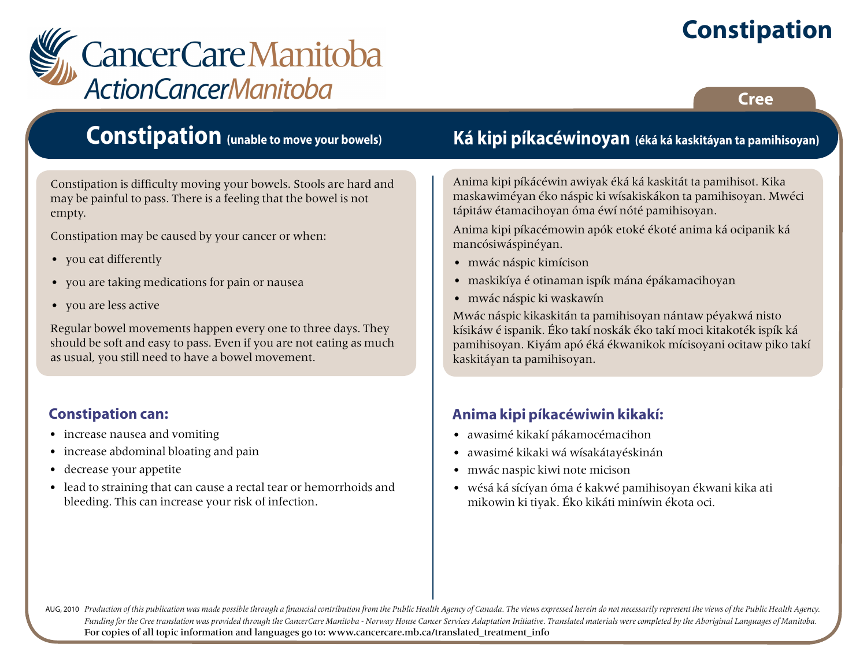# **Constipation**



#### **Cree**

# **Constipation (unable to move your bowels)**

Constipation is difficulty moving your bowels. Stools are hard and may be painful to pass. There is a feeling that the bowel is not empty.

Constipation may be caused by your cancer or when:

- you eat differently
- you are taking medications for pain or nausea
- you are less active

Regular bowel movements happen every one to three days. They should be soft and easy to pass. Even if you are not eating as much as usual, you still need to have a bowel movement.

#### **Constipation can:**

- increase nausea and vomiting
- increase abdominal bloating and pain
- decrease your appetite
- lead to straining that can cause a rectal tear or hemorrhoids and bleeding. This can increase your risk of infection.

### **Ká kipi píkacéwinoyan (éká ká kaskitáyan ta pamihisoyan)**

Anima kipi píkácéwin awiyak éká ká kaskitát ta pamihisot. Kika maskawiméyan éko náspic ki wísakiskákon ta pamihisoyan. Mwéci tápitáw étamacihoyan óma éwí nóté pamihisoyan.

Anima kipi píkacémowin apók etoké ékoté anima ká ocipanik ká mancósiwáspinéyan.

- mwác náspic kimícison
- maskikíya é otinaman ispík mána épákamacihoyan
- mwác náspic ki waskawín

Mwác náspic kikaskitán ta pamihisoyan nántaw péyakwá nisto kísikáw é ispanik. Éko takí noskák éko takí moci kitakoték ispík ká pamihisoyan. Kiyám apó éká ékwanikok mícisoyani ocitaw piko takí kaskitáyan ta pamihisoyan.

#### **Anima kipi píkacéwiwin kikakí:**

- awasimé kikakí pákamocémacihon
- awasimé kikaki wá wísakátayéskinán
- mwác naspic kiwi note micison
- wésá ká sícíyan óma é kakwé pamihisoyan ékwani kika ati mikowin ki tiyak. Éko kikáti miníwin ékota oci.

AUG, 2010 Production of this publication was made possible through a financial contribution from the Public Health Agency of Canada. The views expressed herein do not necessarily represent the views of the Public Health Ag *Funding for the Cree translation was provided through the CancerCare Manitoba - Norway House Cancer Services Adaptation Initiative. Translated materials were completed by the Aboriginal Languages of Manitoba.* For copies of all topic information and languages go to: www.cancercare.mb.ca/translated\_treatment\_info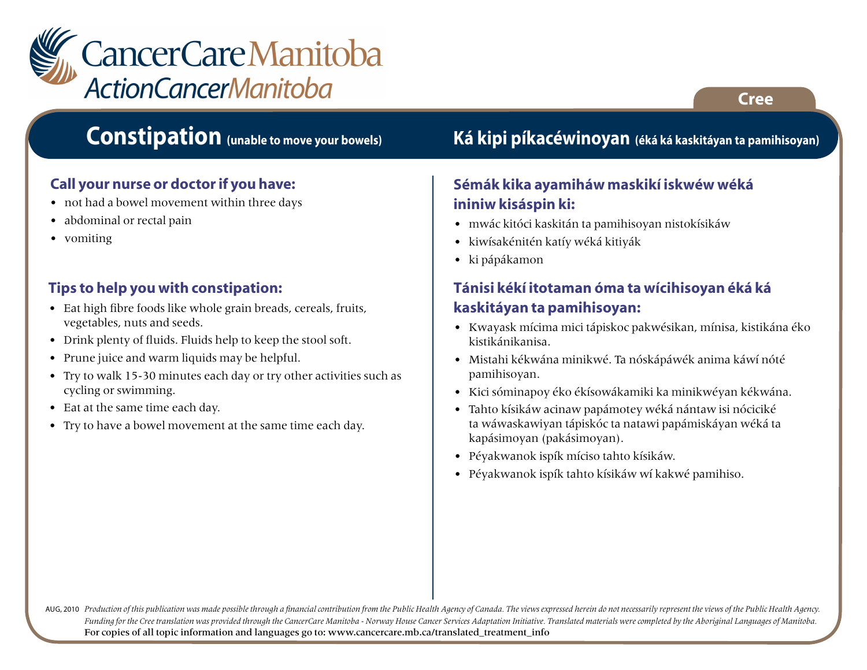

# **Constipation (unable to move your bowels)**

#### **Call your nurse or doctor if you have:**

- not had a bowel movement within three days
- abdominal or rectal pain
- vomiting

#### **Tips to help you with constipation:**

- Eat high fibre foods like whole grain breads, cereals, fruits, vegetables, nuts and seeds.
- Drink plenty of fluids. Fluids help to keep the stool soft.
- Prune juice and warm liquids may be helpful.
- Try to walk 15-30 minutes each day or try other activities such as cycling or swimming.
- Eat at the same time each day.
- Try to have a bowel movement at the same time each day.

### **Ká kipi píkacéwinoyan (éká ká kaskitáyan ta pamihisoyan)**

#### **Sémák kika ayamiháw maskikí iskwéw wéká ininiw kisáspin ki:**

- mwác kitóci kaskitán ta pamihisoyan nistokísikáw
- kiwísakénitén katíy wéká kitiyák
- ki pápákamon

#### **Tánisi kékí itotaman óma ta wícihisoyan éká ká kaskitáyan ta pamihisoyan:**

- Kwayask mícima mici tápiskoc pakwésikan, mínisa, kistikána éko kistikánikanisa.
- Mistahi kékwána minikwé. Ta nóskápáwék anima káwí nóté pamihisoyan.
- Kici sóminapoy éko ékísowákamiki ka minikwéyan kékwána.
- Tahto kísikáw acinaw papámotey wéká nántaw isi nóciciké ta wáwaskawiyan tápiskóc ta natawi papámiskáyan wéká ta kapásimoyan (pakásimoyan).
- Péyakwanok ispík míciso tahto kísikáw.
- Péyakwanok ispík tahto kísikáw wí kakwé pamihiso.

AUG, 2010 Production of this publication was made possible through a financial contribution from the Public Health Agency of Canada. The views expressed herein do not necessarily represent the views of the Public Health Ag *Funding for the Cree translation was provided through the CancerCare Manitoba - Norway House Cancer Services Adaptation Initiative. Translated materials were completed by the Aboriginal Languages of Manitoba.* For copies of all topic information and languages go to: www.cancercare.mb.ca/translated\_treatment\_info

**Cree**